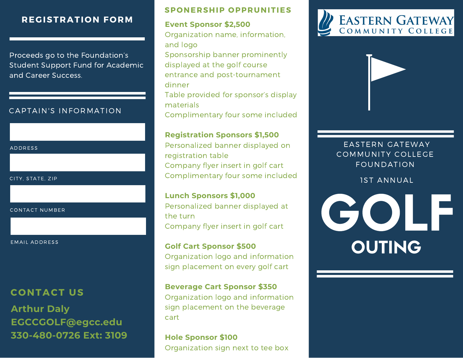## **REGISTRATION FORM**

Proceeds go to the Foundation's Student Support Fund for Academic and Career Success.

### CAPTAIN'S INFORMATION

#### ADDRESS

CITY, STATE, ZIP

CONTACT NUMBER

#### EMAIL ADDRESS

## **CONTACT US**

**Arthur Daly [EGCCGOLF@egcc.edu](mailto:EGCCGOLF@egcc.edu) 330-480-0726 Ext: 3109**

### **SPONERSHIP OPPRUNITIES**

### **Event Sponsor \$2,500**

Organization name, information, and logo Sponsorship banner prominently displayed at the golf course entrance and post-tournament dinner Table provided for sponsor's display materials Complimentary four some included

#### **Registration Sponsors \$1,500**

Personalized banner displayed on registration table Company flyer insert in golf cart Complimentary four some included

# **Lunch Sponsors \$1,000**

Personalized banner displayed at the turn Company flyer insert in golf cart

#### **Golf Cart Sponsor \$500**

Organization logo and information sign placement on every golf cart

#### **Beverage Cart Sponsor \$350**

Organization logo and information sign placement on the beverage cart

**Hole Sponsor \$100** Organization sign next to tee box





## EASTERN GATEWAY COMMUNITY COLLEGE FOUNDATION

1ST ANNUAL

**GOLF** OUTING